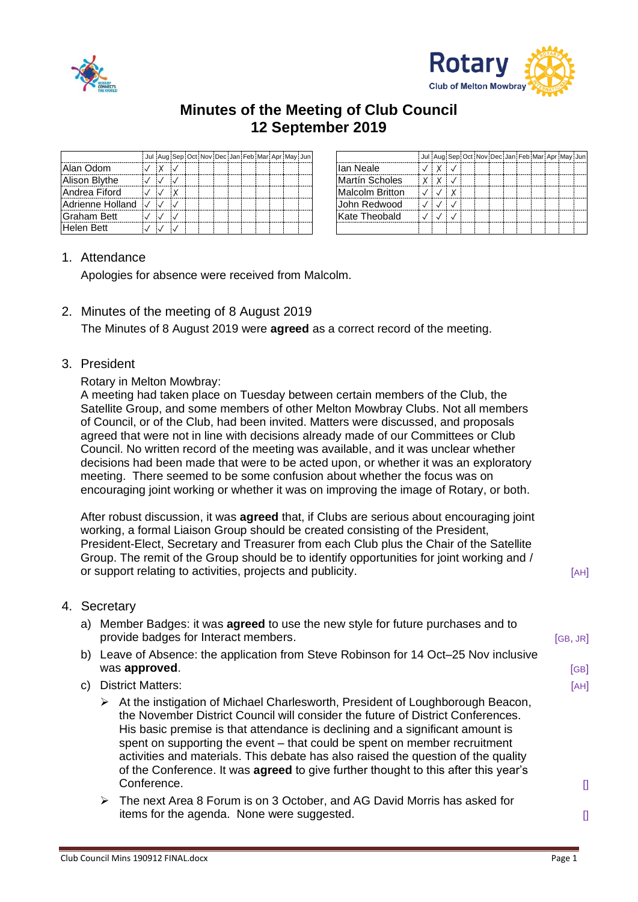



## **Minutes of the Meeting of Club Council 12 September 2019**

|                    |  |  | Jul Aug Sep Oct Nov Dec Jan Feb Mar Apr May Jun |  |  |  |  |                        | Jul Aug Se |  |
|--------------------|--|--|-------------------------------------------------|--|--|--|--|------------------------|------------|--|
| Alan Odom          |  |  |                                                 |  |  |  |  | llan Neale             |            |  |
| Alison Blythe      |  |  |                                                 |  |  |  |  | Martín Scholes         |            |  |
| Andrea Fiford      |  |  |                                                 |  |  |  |  | <b>Malcolm Britton</b> |            |  |
| Adrienne Holland V |  |  |                                                 |  |  |  |  | lJohn Redwood          |            |  |
| Graham Bett        |  |  |                                                 |  |  |  |  | Kate Theobald          |            |  |
| Helen Bett         |  |  |                                                 |  |  |  |  |                        |            |  |

|  | Jul Aug Sep Oct Nov Dec Jan Feb Mar Apr May Jun |  |  |  |  |  |
|--|-------------------------------------------------|--|--|--|--|--|
|  |                                                 |  |  |  |  |  |
|  |                                                 |  |  |  |  |  |
|  | $\checkmark$                                    |  |  |  |  |  |
|  |                                                 |  |  |  |  |  |
|  |                                                 |  |  |  |  |  |
|  |                                                 |  |  |  |  |  |

## 1. Attendance

Apologies for absence were received from Malcolm.

- 2. Minutes of the meeting of 8 August 2019 The Minutes of 8 August 2019 were **agreed** as a correct record of the meeting.
- 3. President

## Rotary in Melton Mowbray:

A meeting had taken place on Tuesday between certain members of the Club, the Satellite Group, and some members of other Melton Mowbray Clubs. Not all members of Council, or of the Club, had been invited. Matters were discussed, and proposals agreed that were not in line with decisions already made of our Committees or Club Council. No written record of the meeting was available, and it was unclear whether decisions had been made that were to be acted upon, or whether it was an exploratory meeting. There seemed to be some confusion about whether the focus was on encouraging joint working or whether it was on improving the image of Rotary, or both.

After robust discussion, it was **agreed** that, if Clubs are serious about encouraging joint working, a formal Liaison Group should be created consisting of the President, President-Elect, Secretary and Treasurer from each Club plus the Chair of the Satellite Group. The remit of the Group should be to identify opportunities for joint working and / or support relating to activities, projects and publicity. [AH]

- 4. Secretary
	- a) Member Badges: it was **agreed** to use the new style for future purchases and to provide badges for Interact members. The state of the state of GB, JR]
	- b) Leave of Absence: the application from Steve Robinson for 14 Oct–25 Nov inclusive was **approved**. [GB]
	- c) District Matters: [AH]
		- ➢ At the instigation of Michael Charlesworth, President of Loughborough Beacon, the November District Council will consider the future of District Conferences. His basic premise is that attendance is declining and a significant amount is spent on supporting the event – that could be spent on member recruitment activities and materials. This debate has also raised the question of the quality of the Conference. It was **agreed** to give further thought to this after this year's Conference. [1] **Conference** is a set of the set of the set of the set of the set of the set of the set of the set of the set of the set of the set of the set of the set of the set of the set of the set of the set of the s
		- ➢ The next Area 8 Forum is on 3 October, and AG David Morris has asked for items for the agenda. None were suggested.  $\Box$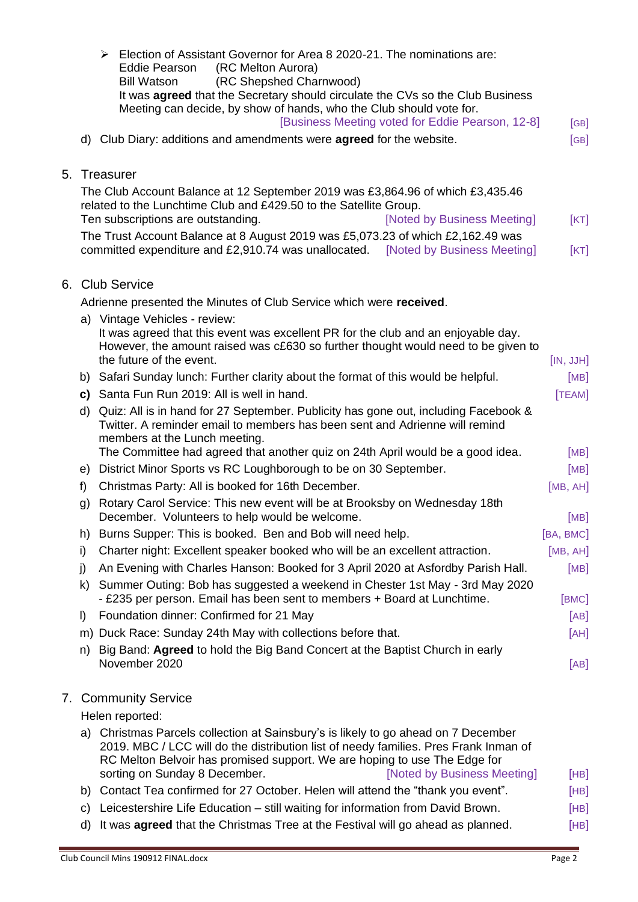|         | Election of Assistant Governor for Area 8 2020-21. The nominations are:<br>≻                                                                                      |           |
|---------|-------------------------------------------------------------------------------------------------------------------------------------------------------------------|-----------|
|         | (RC Melton Aurora)<br>Eddie Pearson<br>(RC Shepshed Charnwood)<br><b>Bill Watson</b>                                                                              |           |
|         | It was <b>agreed</b> that the Secretary should circulate the CVs so the Club Business                                                                             |           |
|         | Meeting can decide, by show of hands, who the Club should vote for.                                                                                               |           |
|         | [Business Meeting voted for Eddie Pearson, 12-8]                                                                                                                  | [GB]      |
|         | d) Club Diary: additions and amendments were <b>agreed</b> for the website.                                                                                       | [GB]      |
|         |                                                                                                                                                                   |           |
|         | 5. Treasurer                                                                                                                                                      |           |
|         | The Club Account Balance at 12 September 2019 was £3,864.96 of which £3,435.46                                                                                    |           |
|         | related to the Lunchtime Club and £429.50 to the Satellite Group.                                                                                                 |           |
|         | Ten subscriptions are outstanding.<br>[Noted by Business Meeting]                                                                                                 | [KT]      |
|         | The Trust Account Balance at 8 August 2019 was £5,073.23 of which £2,162.49 was                                                                                   |           |
|         | committed expenditure and £2,910.74 was unallocated. [Noted by Business Meeting]                                                                                  | [KT]      |
|         | 6. Club Service                                                                                                                                                   |           |
|         |                                                                                                                                                                   |           |
|         | Adrienne presented the Minutes of Club Service which were received.                                                                                               |           |
|         | a) Vintage Vehicles - review:<br>It was agreed that this event was excellent PR for the club and an enjoyable day.                                                |           |
|         | However, the amount raised was c£630 so further thought would need to be given to                                                                                 |           |
|         | the future of the event.                                                                                                                                          | [IN, JJH] |
|         | b) Safari Sunday lunch: Further clarity about the format of this would be helpful.                                                                                | [MB]      |
|         | c) Santa Fun Run 2019: All is well in hand.                                                                                                                       | [TEAM]    |
|         | d) Quiz: All is in hand for 27 September. Publicity has gone out, including Facebook &                                                                            |           |
|         | Twitter. A reminder email to members has been sent and Adrienne will remind                                                                                       |           |
|         | members at the Lunch meeting.                                                                                                                                     |           |
|         | The Committee had agreed that another quiz on 24th April would be a good idea.                                                                                    | [MB]      |
|         | e) District Minor Sports vs RC Loughborough to be on 30 September.                                                                                                | [MB]      |
| f)      | Christmas Party: All is booked for 16th December.                                                                                                                 | [MB, AH]  |
| g)      | Rotary Carol Service: This new event will be at Brooksby on Wednesday 18th<br>December. Volunteers to help would be welcome.                                      | [MB]      |
| n)      | Burns Supper: This is booked. Ben and Bob will need help.                                                                                                         | [BA, BMC] |
| i)      | Charter night: Excellent speaker booked who will be an excellent attraction.                                                                                      | [MB, AH]  |
| j)      | An Evening with Charles Hanson: Booked for 3 April 2020 at Asfordby Parish Hall.                                                                                  | [MB]      |
| k)      | Summer Outing: Bob has suggested a weekend in Chester 1st May - 3rd May 2020                                                                                      |           |
|         | - £235 per person. Email has been sent to members + Board at Lunchtime.                                                                                           | [BMC]     |
| $\vert$ | Foundation dinner: Confirmed for 21 May                                                                                                                           | [AB]      |
|         | m) Duck Race: Sunday 24th May with collections before that.                                                                                                       | [AH]      |
| n)      | Big Band: Agreed to hold the Big Band Concert at the Baptist Church in early                                                                                      |           |
|         | November 2020                                                                                                                                                     | [AB]      |
|         |                                                                                                                                                                   |           |
|         | 7. Community Service                                                                                                                                              |           |
|         | Helen reported:                                                                                                                                                   |           |
| a)      | Christmas Parcels collection at Sainsbury's is likely to go ahead on 7 December                                                                                   |           |
|         | 2019. MBC / LCC will do the distribution list of needy families. Pres Frank Inman of<br>RC Melton Belvoir has promised support. We are hoping to use The Edge for |           |
|         | sorting on Sunday 8 December.<br>[Noted by Business Meeting]                                                                                                      | [HB]      |
|         | b) Contact Tea confirmed for 27 October. Helen will attend the "thank you event".                                                                                 | [HB]      |
| C)      | Leicestershire Life Education - still waiting for information from David Brown.                                                                                   | [HB]      |
| d)      | It was <b>agreed</b> that the Christmas Tree at the Festival will go ahead as planned.                                                                            | [HB]      |
|         |                                                                                                                                                                   |           |